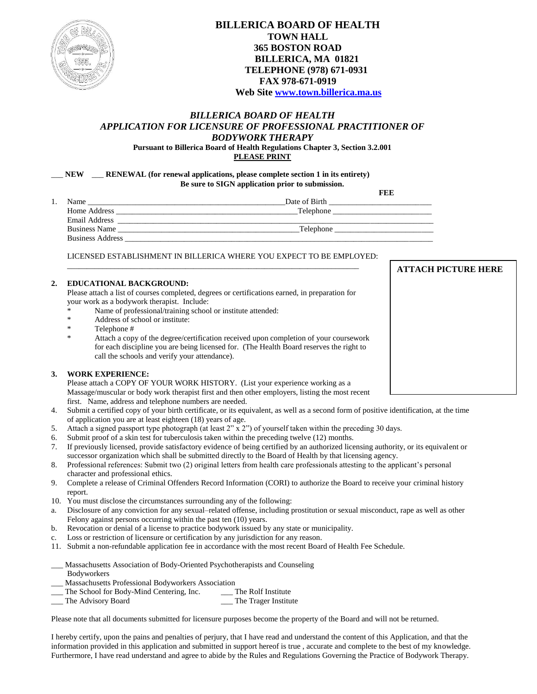

# **BILLERICA BOARD OF HEALTH TOWN HALL 365 BOSTON ROAD BILLERICA, MA 01821 TELEPHONE (978) 671-0931 FAX 978-671-0919 Web Site [www.town.billerica.ma.us](http://www.town.billerica.ma.us/)**

## *BILLERICA BOARD OF HEALTH APPLICATION FOR LICENSURE OF PROFESSIONAL PRACTITIONER OF BODYWORK THERAPY*

**Pursuant to Billerica Board of Health Regulations Chapter 3, Section 3.2.001 PLEASE PRINT**

\_\_\_ **NEW** \_\_\_ **RENEWAL (for renewal applications, please complete section 1 in its entirety) Be sure to SIGN application prior to submission.**

|      |                         | FEF           |
|------|-------------------------|---------------|
| Name |                         | Date of Birth |
|      | Home Address            | Telephone     |
|      | Email Address           |               |
|      | <b>Business Name</b>    | Telephone     |
|      | <b>Business Address</b> |               |

LICENSED ESTABLISHMENT IN BILLERICA WHERE YOU EXPECT TO BE EMPLOYED:

### **2. EDUCATIONAL BACKGROUND:**

Please attach a list of courses completed, degrees or certifications earned, in preparation for your work as a bodywork therapist. Include:

 $\mathcal{L}_\text{max}$  , and the set of the set of the set of the set of the set of the set of the set of the set of the set of the set of the set of the set of the set of the set of the set of the set of the set of the set of the

- \* Name of professional/training school or institute attended:
- Address of school or institute:
- \* Telephone #
- \* Attach a copy of the degree/certification received upon completion of your coursework for each discipline you are being licensed for. (The Health Board reserves the right to call the schools and verify your attendance).

### **3. WORK EXPERIENCE:**

Please attach a COPY OF YOUR WORK HISTORY. (List your experience working as a Massage/muscular or body work therapist first and then other employers, listing the most recent first. Name, address and telephone numbers are needed.

- 4. Submit a certified copy of your birth certificate, or its equivalent, as well as a second form of positive identification, at the time of application you are at least eighteen (18) years of age.
- 5. Attach a signed passport type photograph (at least 2" x 2") of yourself taken within the preceding 30 days.
- 6. Submit proof of a skin test for tuberculosis taken within the preceding twelve (12) months.
- 7. If previously licensed, provide satisfactory evidence of being certified by an authorized licensing authority, or its equivalent or successor organization which shall be submitted directly to the Board of Health by that licensing agency.
- 8. Professional references: Submit two (2) original letters from health care professionals attesting to the applicant's personal character and professional ethics.
- 9. Complete a release of Criminal Offenders Record Information (CORI) to authorize the Board to receive your criminal history report.
- 10. You must disclose the circumstances surrounding any of the following:
- a. Disclosure of any conviction for any sexual–related offense, including prostitution or sexual misconduct, rape as well as other Felony against persons occurring within the past ten (10) years.
- b. Revocation or denial of a license to practice bodywork issued by any state or municipality.
- c. Loss or restriction of licensure or certification by any jurisdiction for any reason.
- 11. Submit a non-refundable application fee in accordance with the most recent Board of Health Fee Schedule.
- \_\_\_ Massachusetts Association of Body-Oriented Psychotherapists and Counseling Bodyworkers
- \_\_\_ Massachusetts Professional Bodyworkers Association
- The School for Body-Mind Centering, Inc. \_\_\_\_ The Rolf Institute
- The Advisory Board **Container Exercise 2.1** The Trager Institute

Please note that all documents submitted for licensure purposes become the property of the Board and will not be returned.

I hereby certify, upon the pains and penalties of perjury, that I have read and understand the content of this Application, and that the information provided in this application and submitted in support hereof is true , accurate and complete to the best of my knowledge. Furthermore, I have read understand and agree to abide by the Rules and Regulations Governing the Practice of Bodywork Therapy.